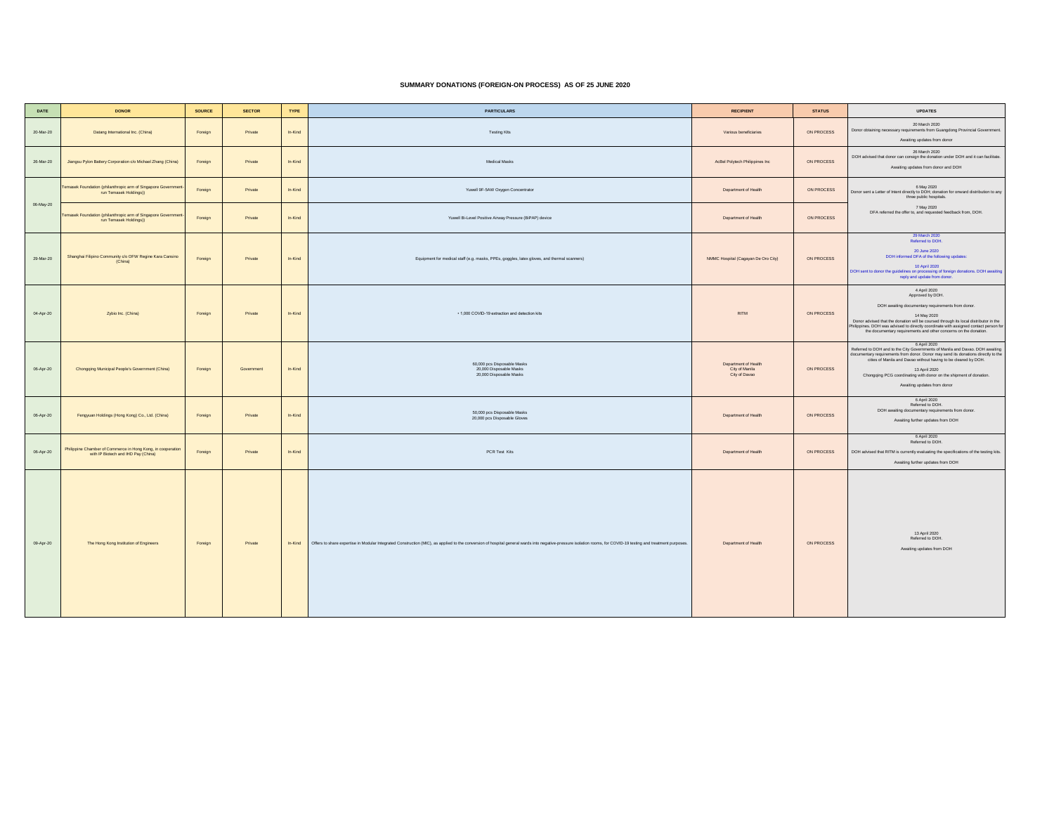## **SUMMARY DONATIONS (FOREIGN-ON PROCESS) AS OF 25 JUNE 2020**

| DATE      | <b>DONOR</b>                                                                                       | <b>SOURCE</b> | <b>SECTOR</b> | TYPE    | <b>PARTICULARS</b>                                                                                                                                                                                              | <b>RECIPIENT</b>                                        | <b>STATUS</b> | <b>UPDATES</b>                                                                                                                                                                                                                                                                                                                                                              |
|-----------|----------------------------------------------------------------------------------------------------|---------------|---------------|---------|-----------------------------------------------------------------------------------------------------------------------------------------------------------------------------------------------------------------|---------------------------------------------------------|---------------|-----------------------------------------------------------------------------------------------------------------------------------------------------------------------------------------------------------------------------------------------------------------------------------------------------------------------------------------------------------------------------|
| 20-Mar-20 | Datang International Inc. (China)                                                                  | Foreign       | Private       | In-Kind | <b>Testing Kits</b>                                                                                                                                                                                             | Various beneficiaries                                   | ON PROCESS    | 20 March 2020<br>Donor obtaining necessary requirements from Guangdong Provincial Government.<br>Awaiting updates from donor                                                                                                                                                                                                                                                |
| 26-Mar-20 | Jiangsu Pylon Battery Corporation c/o Michael Zhang (China)                                        | Foreign       | Private       | In-Kind | Medical Masks                                                                                                                                                                                                   | AcBel Polytech Philippines Inc                          | ON PROCESS    | 26 March 2020<br>DOH advised that donor can consign the donation under DOH and it can facilitate.<br>Awaiting updates from donor and DOH                                                                                                                                                                                                                                    |
|           | Temasek Foundation (philanthropic arm of Singapore Governmen<br>run Temasek Holdings))             | Foreign       | Private       | In-Kind | Yuwell 9F-5AW Oxygen Concentrator                                                                                                                                                                               | Department of Health                                    | ON PROCESS    | 6 May 2020<br>Donor sent a Letter of Intent directly to DOH; donation for onward distribution to any<br>three public hospitals.                                                                                                                                                                                                                                             |
| 06-May-20 | Temasek Foundation (philanthropic arm of Singapore Government<br>run Temasek Holdings))            | Foreign       | Private       | In-Kind | Yuwell Bi-Level Positive Airway Pressure (BiPAP) device                                                                                                                                                         | Department of Health                                    | ON PROCESS    | 7 May 2020<br>DFA referred the offer to, and requested feedback from, DOH.                                                                                                                                                                                                                                                                                                  |
| 29-Mar-20 | Shanghai Filipino Community c/o OFW Regine Kara Cansino<br>(China)                                 | Foreign       | Private       | In-Kind | Equipment for medical staff (e.g. masks, PPEs, goggles, latex gloves, and thermal scanners)                                                                                                                     | NMMC Hospital (Cagayan De Oro City)                     | ON PROCESS    | 29 March 2020<br>Referred to DOH.<br>20 June 2020<br>DOH informed DFA of the following updates:<br>10 April 2020<br>DOH sent to donor the guidelines on processing of foreign donations. DOH awaiting reply and update from donor.                                                                                                                                          |
| 04-Apr-20 | Zybio Inc. (China)                                                                                 | Foreign       | Private       | In-Kind | . 1,000 COVID-19 extraction and detection kits                                                                                                                                                                  | <b>RITM</b>                                             | ON PROCESS    | 4 April 2020<br>Approved by DOH.<br>DOH awaiting documentary requirements from donor.<br>14 May 2020<br>Donor advised that the donation will be coursed through its local distributor in the<br>Philippines. DOH was advised to directly coordinate with assigned contact person for<br>the documentary requirements and other concerns on the donation.                    |
| 06-Apr-20 | Chongqing Municipal People's Government (China)                                                    | Foreign       | Government    | In-Kind | 60,000 pcs Disposable Masks<br>20,000 Disposable Masks<br>20,000 Disposable Masks                                                                                                                               | Department of Health<br>City of Manila<br>City of Davao | ON PROCESS    | 6 April 2020<br>Referred to DOH and to the City Governments of Manila and Davao. DOH awaiting<br>documentary requirements from donor. Donor may send its donations directly to the<br>cities of Manila and Davao without having to be cleared by DOH.<br>13 April 2020<br>Chongqing PCG coordinating with donor on the shipment of donation.<br>Awaiting updates from donor |
| 06-Apr-20 | Fengyuan Holdings (Hong Kong) Co., Ltd. (China)                                                    | Foreign       | Private       | In-Kind | 50,000 pcs Disposable Masks<br>20,000 pcs Disposable Gloves                                                                                                                                                     | Department of Health                                    | ON PROCESS    | 6 April 2020<br>Referred to DOH.<br>DOH awaiting documentary requirements from donor.<br>Awaiting further updates from DOH                                                                                                                                                                                                                                                  |
| 06-Apr-20 | Philippine Chamber of Commerce in Hong Kong, in cooperation<br>with IP Biotech and IHD Pay (China) | Foreign       | Private       | In-Kind | PCR Test Kits                                                                                                                                                                                                   | Department of Health                                    | ON PROCESS    | 6 April 2020<br>Referred to DOH.<br>DOH advised that RITM is currently evaluating the specifications of the testing kits.<br>Awaiting further updates from DOH                                                                                                                                                                                                              |
| 09-Apr-20 | The Hong Kong Institution of Engineers                                                             | Foreign       | Private       | In-Kind | Offers to share expertise in Modular Integrated Construction (MIC), as applied to the conversion of hospital general wards into negative-pressure isolation rooms, for COVID-19 testing and treatment purposes. | Denartment of Health                                    | ON PROCESS    | 13 April 2020<br>Referred to DOH.<br>Awaiting updates from DOH                                                                                                                                                                                                                                                                                                              |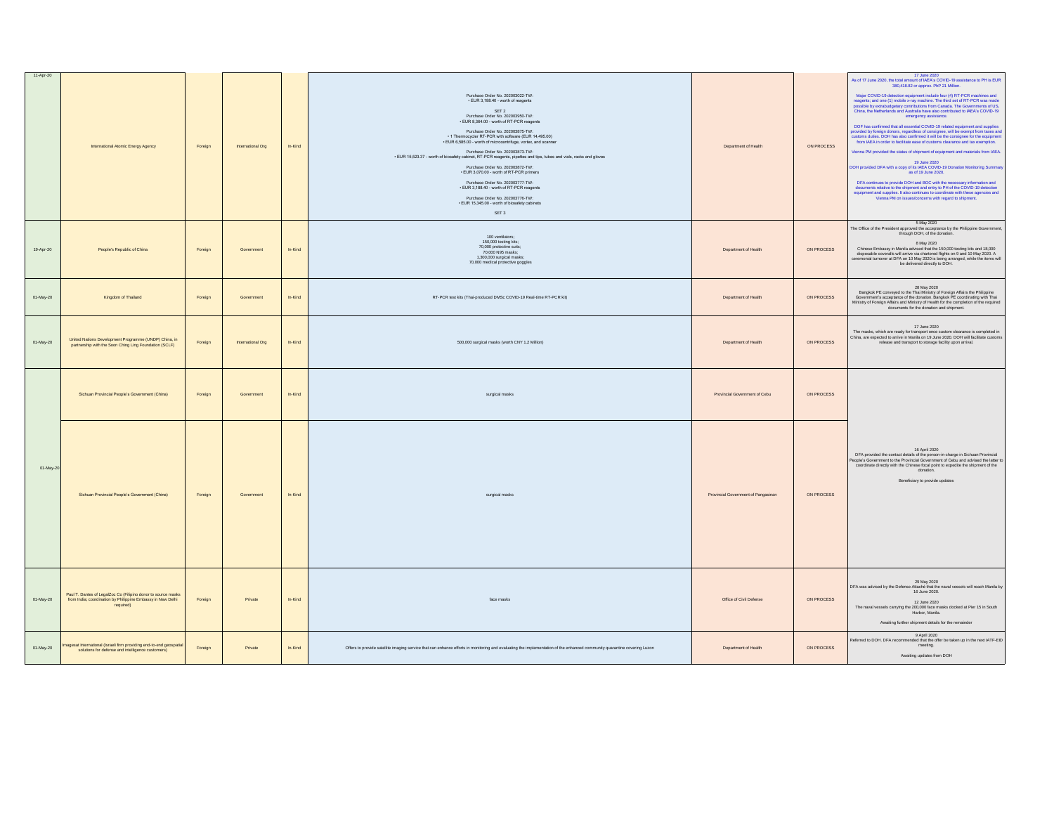| 11-Apr-20 | International Atomic Energy Agency                                                                                                        | Foreign | International Org | In-Kind   | Purchase Order No. 202003022-TW:<br>EUR 3,188.40 - worth of reagents<br>SET 2<br>Purchase Order No. 202003950-TW:<br>. EUR 8,364.00 - worth of RT-PCR reagents<br>Purchase Order No. 202003875-TW:<br>1 Thermocycler RT-PCR with software (EUR 14,495.00)<br>EUR 6,585.00 - worth of microcentrifuge, vortex, and scanner<br>Purchase Order No. 202003873-TW:<br>. EUR 15,523.37 - worth of biosafety cabinet, RT-PCR reagents, pipettes and tips, tubes and vials, racks and gloves<br>Purchase Order No. 202003872-TW:<br>- EUR 3,070.00 - worth of RT-PCR primers<br>Purchase Order No. 202003777-TW:<br>- EUR 3,188.40 - worth of RT-PCR reagents<br>Purchase Order No. 202003776-TW: | Department of Health                | ON PROCESS | 17 June 2020<br>As of 17 June 2020, the total amount of IAEA's COVID-19 assistance to PH is EUR<br>380,418.82 or approx. PhP 21 Million.<br>Major COVID-19 detection equipment include four (4) RT-PCR machines and<br>reagents; and one (1) mobile x-ray machine. The third set of RT-PCR was made<br>possible by extrabudgetary contributions from Canada. The Governments of<br>China, the Netherlands and Australia have also contributed to IAEA's COVID-19<br>emergency assistance.<br>DOF has confirmed that all essential COVID-19 related equipment and supplies<br>provided by foreign donors, regardless of consignee, will be exempt from taxes and<br>customs turbies. DOH has also confirmed it will be the consign<br>Vienna PM provided the status of shipment of equipment and materials from IAEA.<br>19 June 2020<br>DOH provided DFA with a copy of its IAEA COVID-19 Donation Monitoring Summary<br>as of 19 June 2020.<br>DFA continues to provide DOH and BOC with the necessary information and<br>documents relative to the shipment and entry to PH of the COVID-19 detection<br>equipment and supplies. It also continues to coordinate with these agencies and<br>Vienna PM on issues/concerns with regard to shipment. |
|-----------|-------------------------------------------------------------------------------------------------------------------------------------------|---------|-------------------|-----------|-------------------------------------------------------------------------------------------------------------------------------------------------------------------------------------------------------------------------------------------------------------------------------------------------------------------------------------------------------------------------------------------------------------------------------------------------------------------------------------------------------------------------------------------------------------------------------------------------------------------------------------------------------------------------------------------|-------------------------------------|------------|-----------------------------------------------------------------------------------------------------------------------------------------------------------------------------------------------------------------------------------------------------------------------------------------------------------------------------------------------------------------------------------------------------------------------------------------------------------------------------------------------------------------------------------------------------------------------------------------------------------------------------------------------------------------------------------------------------------------------------------------------------------------------------------------------------------------------------------------------------------------------------------------------------------------------------------------------------------------------------------------------------------------------------------------------------------------------------------------------------------------------------------------------------------------------------------------------------------------------------------------------------|
| 19-Apr-20 | People's Republic of China                                                                                                                | Foreign | Government        | In-Kind   | · EUR 15,345.00 - worth of biosafety cabinets<br>SET 3<br>100 ventilators;<br>150,000 testing kits:<br>70,000 protective suits;<br>70,000 N95 masks;<br>1,300,000 surgical masks;<br>70,000 medical protective goggles                                                                                                                                                                                                                                                                                                                                                                                                                                                                    | Department of Health                | ON PROCESS | 5 May 2020<br>The Office of the President approved the acceptance by the Philippine Government,<br>through DOH, of the donation.<br>8 May 2020<br>Chinese Embassy in Manila advised that the 150,000 testing kits and 18,000<br>disposable coveralls will arrive via chartered flights on 9 and 10 May 2020. A ceremonial turnover at DFA on 10 May 2020 is being arranged, while the items will<br>be delivered directly to DOH.                                                                                                                                                                                                                                                                                                                                                                                                                                                                                                                                                                                                                                                                                                                                                                                                                   |
| 01-May-20 | Kingdom of Thailand                                                                                                                       | Foreign | Government        | In-Kind   | RT-PCR test kits (Thai-produced DMSc COVID-19 Real-time RT-PCR kit)                                                                                                                                                                                                                                                                                                                                                                                                                                                                                                                                                                                                                       | Department of Health                | ON PROCESS | 28 May 2020<br>Bangkok PE conveyed to the Thai Ministry of Foreign Affairs the Philippine<br>Government's acceptance of the donation. Bangkok PE coordinating with Thai<br>Ministry of Foreign Affairs and Ministry of Health for the completion of<br>documents for the donation and shipment.                                                                                                                                                                                                                                                                                                                                                                                                                                                                                                                                                                                                                                                                                                                                                                                                                                                                                                                                                     |
| 01-May-20 | United Nations Development Programme (UNDP) China, in<br>partnership with the Soon Ching Ling Foundation (SCLF)                           | Foreign | International Org | $ln-Kind$ | 500,000 surgical masks (worth CNY 1.2 Million)                                                                                                                                                                                                                                                                                                                                                                                                                                                                                                                                                                                                                                            | Department of Health                | ON PROCESS | 17 June 2020<br>The masks, which are ready for transport once custom clearance is completed in<br>China, are expected to arrive in Manila on 19 June 2020. DOH will facilitate customs<br>release and transport to storage facility upon arrival.                                                                                                                                                                                                                                                                                                                                                                                                                                                                                                                                                                                                                                                                                                                                                                                                                                                                                                                                                                                                   |
|           | Sichuan Provincial People's Government (China)                                                                                            | Foreign | Government        | In-Kind   | surgical masks                                                                                                                                                                                                                                                                                                                                                                                                                                                                                                                                                                                                                                                                            | Provincial Government of Cebu       | ON PROCESS |                                                                                                                                                                                                                                                                                                                                                                                                                                                                                                                                                                                                                                                                                                                                                                                                                                                                                                                                                                                                                                                                                                                                                                                                                                                     |
| 01-May-20 | Sichuan Provincial People's Government (China)                                                                                            | Foreign | Government        | In-Kind   | surgical masks                                                                                                                                                                                                                                                                                                                                                                                                                                                                                                                                                                                                                                                                            | Provincial Government of Pangasinan | ON PROCESS | 16 April 2020<br>DFA provided the contact details of the person-in-charge in Sichuan Provincial<br>People's Government to the Provincial Government of Cebu and advised the latter to<br>coordinate directly with the Chinese focal point to expedite the shipment of the<br>donation.<br>Beneficiary to provide updates                                                                                                                                                                                                                                                                                                                                                                                                                                                                                                                                                                                                                                                                                                                                                                                                                                                                                                                            |
| 01-May-20 | Paul T. Dantes of LegalZoc Co (Filipino donor to source masks<br>from India; coordination by Philippine Embassy in New Delhi<br>required) | Foreign | Private           | In-Kind   | face masks                                                                                                                                                                                                                                                                                                                                                                                                                                                                                                                                                                                                                                                                                | Office of Civil Defense             | ON PROCESS | 29 May 2020<br>DFA was advised by the Defense Attaché that the naval vessels will reach Manila by<br>16 June 2020.<br>12 June 2020<br>The naval vessels carrying the 200,000 face masks docked at Pier 15 in South<br>Harbor, Manila.<br>Awaiting further shipment details for the remainder                                                                                                                                                                                                                                                                                                                                                                                                                                                                                                                                                                                                                                                                                                                                                                                                                                                                                                                                                        |
| 01-May-20 | magesat International (Israeli firm providing end-to-end geospatial<br>solutions for defense and intelligence customers)                  | Foreign | Private           | In-Kind   | Offers to provide satellite imaging service that can enhance efforts in monitoring and evaluating the implementation of the enhanced community quarantine covering Luzon                                                                                                                                                                                                                                                                                                                                                                                                                                                                                                                  | Department of Health                | ON PROCESS | 9 April 2020<br>Referred to DOH. DFA recommended that the offer be taken up in the next IATF-EID<br>meeting.<br>Awaiting updates from DOH                                                                                                                                                                                                                                                                                                                                                                                                                                                                                                                                                                                                                                                                                                                                                                                                                                                                                                                                                                                                                                                                                                           |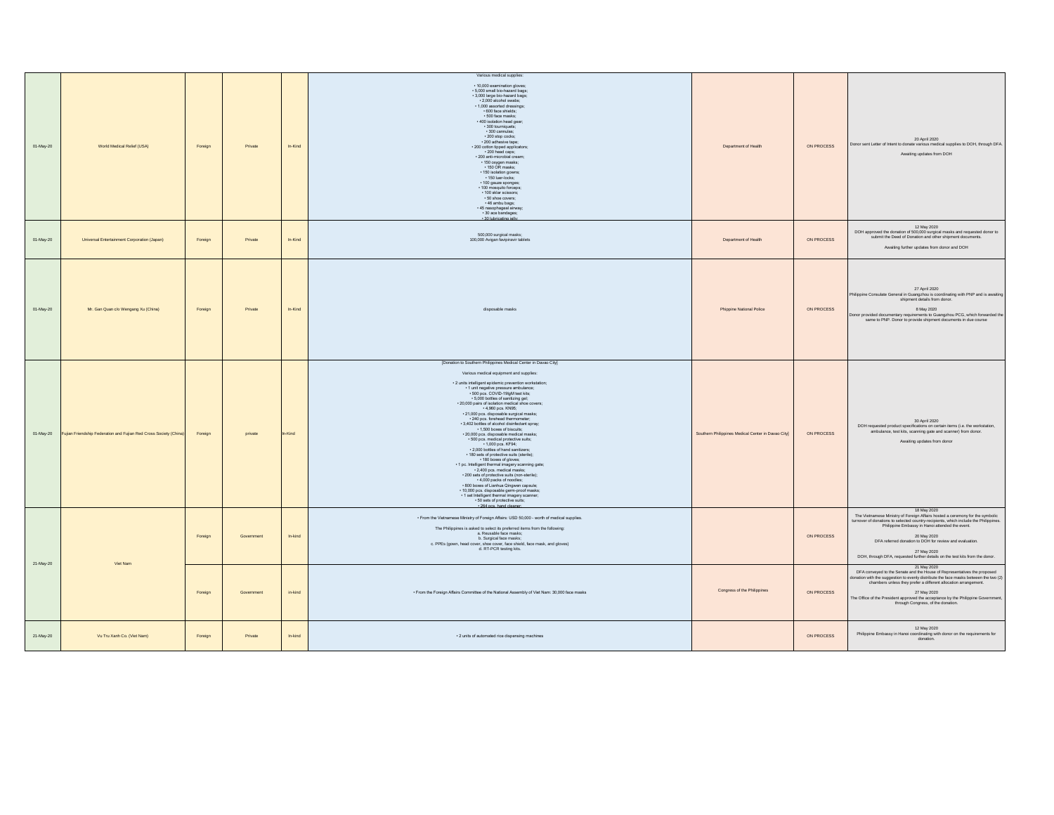| 01-May-20 | World Medical Relief (USA)                                        | Foreign | Private    | In-Kind   | Various medical supplies:<br>. 10.000 examination gloves:<br>- 5,000 small bio-hazard bags;<br>· 3,000 large bio-hazard bags;<br>· 2,000 alcohol swabs;<br>· 1,000 assorted dressings;<br>. 600 face shields:<br>· 500 face masks;<br>· 400 isolation head gear;<br>· 300 tourniquets:<br>· 300 cannulas;<br>200 stop cocks;<br>200 adhesive tape;<br>· 200 cotton tipped applicators;<br>· 200 head caps;<br>- 200 anti-microbial cream;<br>· 150 oxygen masks;<br>· 150 OR masks:<br>· 150 isolation gowns;<br>- 150 luer-locks;<br>· 100 gauze sponges;<br>· 100 mosquito forceps;<br>· 100 sklar scissors:<br>· 50 shoe covers:<br>- 46 ambu bags;<br>· 45 nasophageal airway;<br>· 30 ace bandages:<br>· 30 lubricating jell                                                                                                                                                                                                                                                                                                                                                                                                | Department of Health                               | ON PROCESS | 20 April 2020<br>Donor sent Letter of Intent to donate various medical supplies to DOH, through DFA.<br>Awaiting updates from DOH                                                                                                                                                                                                                                                                                |
|-----------|-------------------------------------------------------------------|---------|------------|-----------|----------------------------------------------------------------------------------------------------------------------------------------------------------------------------------------------------------------------------------------------------------------------------------------------------------------------------------------------------------------------------------------------------------------------------------------------------------------------------------------------------------------------------------------------------------------------------------------------------------------------------------------------------------------------------------------------------------------------------------------------------------------------------------------------------------------------------------------------------------------------------------------------------------------------------------------------------------------------------------------------------------------------------------------------------------------------------------------------------------------------------------|----------------------------------------------------|------------|------------------------------------------------------------------------------------------------------------------------------------------------------------------------------------------------------------------------------------------------------------------------------------------------------------------------------------------------------------------------------------------------------------------|
| 01-May-20 | Universal Entertainment Corporation (Japan)                       | Foreign | Private    | $ln-Kind$ | 500,000 surgical masks;<br>100,000 Avigan favipiravir tablets                                                                                                                                                                                                                                                                                                                                                                                                                                                                                                                                                                                                                                                                                                                                                                                                                                                                                                                                                                                                                                                                    | Department of Health                               | ON PROCESS | 12 May 2020<br>DOH approved the donation of 500,000 surgical masks and requested donor to<br>submit the Deed of Donation and other shipment documents.<br>Awaiting further updates from donor and DOH                                                                                                                                                                                                            |
| 01-May-20 | Mr. Gan Quan c/o Wengang Xu (China)                               | Foreign | Private    | In-Kind   | disposable masks                                                                                                                                                                                                                                                                                                                                                                                                                                                                                                                                                                                                                                                                                                                                                                                                                                                                                                                                                                                                                                                                                                                 | Phippine National Police                           | ON PROCESS | 27 April 2020<br>Philippine Consulate General in Guangzhou is coordinating with PNP and is awaiting<br>shipment details from donor.<br>8 May 2020<br>Donor provided documentary requirements to Guangzhou PCG, which forwarded the<br>same to PNP. Donor to provide shipment documents in due course                                                                                                             |
| 01-May-20 | Fujian Friendship Federation and Fujian Red Cross Society (China) | Foreign | private    | n-Kind    | [Donation to Southern Philippines Medical Center in Davao City]<br>Various medical equipment and supplies:<br>· 2 units intelligent epidemic prevention workstation;<br>1 unit negative pressure ambulance;<br>500 pcs. COVID-19IgM test kits;<br>.5,000 bottles of sanitizing gel;<br>- 20,000 pairs of isolation medical shoe covers;<br>-4,960 pcs. KN95;<br>-4,960 pcs. KN95;<br>-21,000 pcs. disposable surgical masks;<br>240 pcs. forehead thermometer;<br>3,402 bottles of alcohol disinfectant spray;<br>1,500 boxes of biscuits;<br>- 20,000 pcs. disposable medical masks;<br>500 pcs. medical protective suits;<br>1,000 pcs. KF94;<br>- 2,000 bottles of hand sanitizers;<br>· 180 sets of protective suits (sterile);<br>- 180 boxes of gloves;<br>. 1 pc. Intelligent thermal imagery scanning gate;<br>2.400 pcs, medical masks:<br>- 200 sets of protective suits (non-sterile);<br>4,000 packs of noodles;<br>· 800 boxes of Lianhua Qingwen capsule;<br>· 10,000 pcs. disposable germ-proof masks;<br>. 1 set Intelligent thermal imagery scanner:<br>- 50 sets of protective suits:<br>- 264 nos hand cleane | Southern Philippines Medical Center in Davao City] | ON PROCESS | 30 April 2020<br>DOH requested product specifications on certain items (i.e. the workstation,<br>ambulance, test kits, scanning gate and scanner) from donor.<br>Awaiting updates from donor                                                                                                                                                                                                                     |
| 21-May-20 | Viet Nam                                                          | Foreign | Government | In-kind   | . From the Vietnamese Ministry of Foreign Affairs: USD 50,000 - worth of medical supplies.<br>The Philippines is asked to select its preferred items from the following:<br>a. Reusable face masks:<br>b. Surgical face masks;<br>c. PPEs (gown, head cover, shoe cover, face shield, face mask, and gloves)<br>d. RT-PCR testing kits.                                                                                                                                                                                                                                                                                                                                                                                                                                                                                                                                                                                                                                                                                                                                                                                          |                                                    | ON PROCESS | 18 May 2020<br>The Vietnamese Ministry of Foreign Affairs hosted a ceremony for the symbolic<br>turnover of donations to selected country-recipients, which include the Philippines.<br>Philippine Embassy in Hanoi attended the event.<br>20 May 2020<br>DFA referred donation to DOH for review and evaluation.<br>27 May 2020<br>DOH, through DFA, requested further details on the test kits from the donor. |
|           |                                                                   | Foreign | Government | in-kind   | . From the Foreign Affairs Committee of the National Assembly of Viet Nam: 30,000 face masks                                                                                                                                                                                                                                                                                                                                                                                                                                                                                                                                                                                                                                                                                                                                                                                                                                                                                                                                                                                                                                     | Congress of the Philippines                        | ON PROCESS | 21 May 2020<br>DFA conveyed to the Senate and the House of Representatives the proposed<br>fonation with the suggestion to evenly distribute the face masks between the two (2) chambers unless they prefer a different allocation arrangement.<br>27 May 2020<br>The Office of the President approved the acceptance by the Philippine Government,<br>through Congress, of the donation.                        |
| 21-May-20 | Vu Tru Xanh Co. (Viet Nam)                                        | Foreign | Private    | In-kind   | - 2 units of automated rice dispensing machines                                                                                                                                                                                                                                                                                                                                                                                                                                                                                                                                                                                                                                                                                                                                                                                                                                                                                                                                                                                                                                                                                  |                                                    | ON PROCESS | 12 May 2020<br>Philippine Embassy in Hanoi coordinating with donor on the requirements for<br>donation.                                                                                                                                                                                                                                                                                                          |